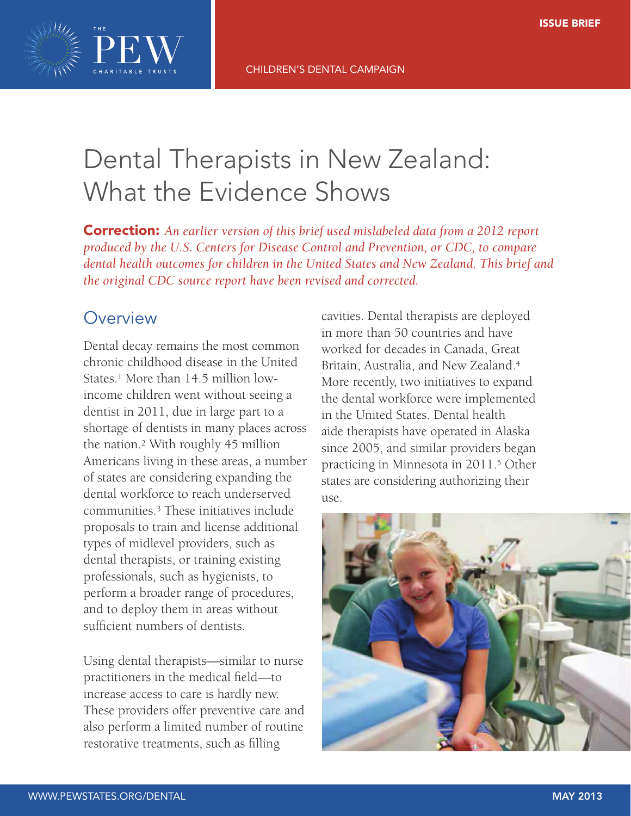

# Dental Therapists in New Zealand: What the Evidence Shows

Correction: *An earlier version of this brief used mislabeled data from a 2012 report produced by the U.S. Centers for Disease Control and Prevention, or CDC, to compare dental health outcomes for children in the United States and New Zealand. This brief and the original CDC source report have been revised and corrected.*

## **Overview**

Dental decay remains the most common chronic childhood disease in the United States<sup>1</sup> More than 14.5 million lowincome children went without seeing a dentist in 2011, due in large part to a shortage of dentists in many places across the nation.2 With roughly 45 million Americans living in these areas, a number of states are considering expanding the dental workforce to reach underserved communities.3 These initiatives include proposals to train and license additional types of midlevel providers, such as dental therapists, or training existing professionals, such as hygienists, to perform a broader range of procedures, and to deploy them in areas without sufficient numbers of dentists.

Using dental therapists—similar to nurse practitioners in the medical field—to increase access to care is hardly new. These providers offer preventive care and also perform a limited number of routine restorative treatments, such as filling

cavities. Dental therapists are deployed in more than 50 countries and have worked for decades in Canada, Great Britain, Australia, and New Zealand.4 More recently, two initiatives to expand the dental workforce were implemented in the United States. Dental health aide therapists have operated in Alaska since 2005, and similar providers began practicing in Minnesota in 2011.5 Other states are considering authorizing their use.

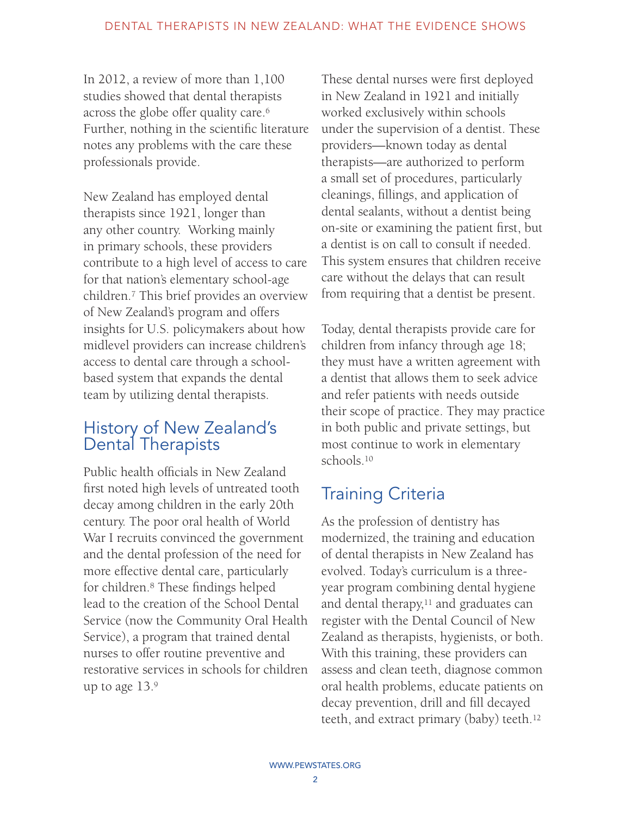In 2012, a review of more than 1,100 studies showed that dental therapists across the globe offer quality care.6 Further, nothing in the scientific literature notes any problems with the care these professionals provide.

New Zealand has employed dental therapists since 1921, longer than any other country. Working mainly in primary schools, these providers contribute to a high level of access to care for that nation's elementary school-age children.7 This brief provides an overview of New Zealand's program and offers insights for U.S. policymakers about how midlevel providers can increase children's access to dental care through a schoolbased system that expands the dental team by utilizing dental therapists.

### History of New Zealand's Dental Therapists

Public health officials in New Zealand first noted high levels of untreated tooth decay among children in the early 20th century. The poor oral health of World War I recruits convinced the government and the dental profession of the need for more effective dental care, particularly for children.8 These findings helped lead to the creation of the School Dental Service (now the Community Oral Health Service), a program that trained dental nurses to offer routine preventive and restorative services in schools for children up to age 13.9

These dental nurses were first deployed in New Zealand in 1921 and initially worked exclusively within schools under the supervision of a dentist. These providers—known today as dental therapists—are authorized to perform a small set of procedures, particularly cleanings, fillings, and application of dental sealants, without a dentist being on-site or examining the patient first, but a dentist is on call to consult if needed. This system ensures that children receive care without the delays that can result from requiring that a dentist be present.

Today, dental therapists provide care for children from infancy through age 18; they must have a written agreement with a dentist that allows them to seek advice and refer patients with needs outside their scope of practice. They may practice in both public and private settings, but most continue to work in elementary schools.10

# Training Criteria

As the profession of dentistry has modernized, the training and education of dental therapists in New Zealand has evolved. Today's curriculum is a threeyear program combining dental hygiene and dental therapy, $11$  and graduates can register with the Dental Council of New Zealand as therapists, hygienists, or both. With this training, these providers can assess and clean teeth, diagnose common oral health problems, educate patients on decay prevention, drill and fill decayed teeth, and extract primary (baby) teeth.12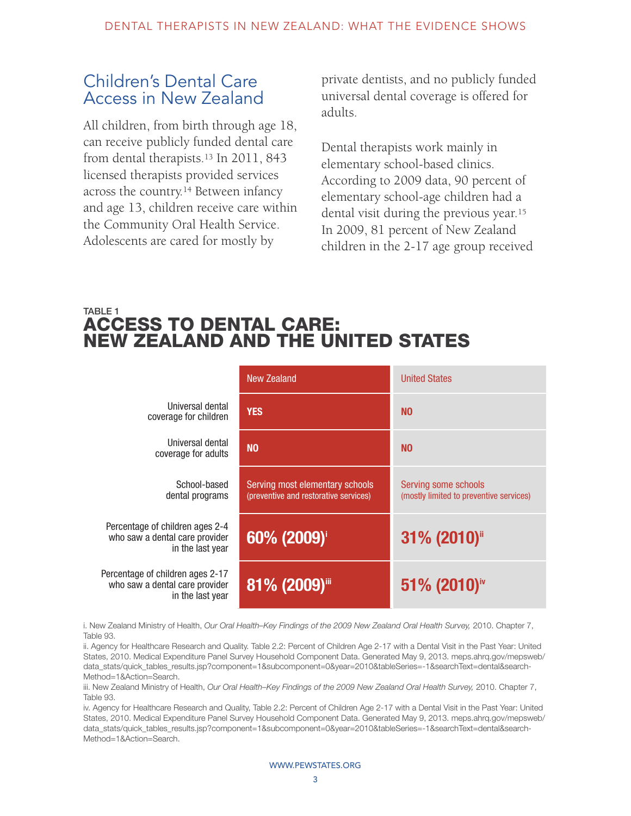### Children's Dental Care Access in New Zealand

All children, from birth through age 18, can receive publicly funded dental care from dental therapists.13 In 2011, 843 licensed therapists provided services across the country.14 Between infancy and age 13, children receive care within the Community Oral Health Service. Adolescents are cared for mostly by

private dentists, and no publicly funded universal dental coverage is offered for adults.

Dental therapists work mainly in elementary school-based clinics. According to 2009 data, 90 percent of elementary school-age children had a dental visit during the previous year.15 In 2009, 81 percent of New Zealand children in the 2-17 age group received

#### TABLE 1 ACCESS TO DENTAL CARE: NEW ZEALAND AND THE UNITED STATES

|                                                                                        | New Zealand                                                              | <b>United States</b>                                            |  |
|----------------------------------------------------------------------------------------|--------------------------------------------------------------------------|-----------------------------------------------------------------|--|
| Universal dental<br>coverage for children                                              | <b>YES</b>                                                               | N <sub>0</sub>                                                  |  |
| Universal dental<br>coverage for adults                                                | <b>NO</b>                                                                | N <sub>0</sub>                                                  |  |
| School-based<br>dental programs                                                        | Serving most elementary schools<br>(preventive and restorative services) | Serving some schools<br>(mostly limited to preventive services) |  |
| Percentage of children ages 2-4<br>who saw a dental care provider<br>in the last year  | 31% (2010)<br>60% (2009) <sup>i</sup>                                    |                                                                 |  |
| Percentage of children ages 2-17<br>who saw a dental care provider<br>in the last year | 81% (2009)                                                               | 51% (2010) <sup>iv</sup>                                        |  |

i. New Zealand Ministry of Health, *Our Oral Health–Key Findings of the 2009 New Zealand Oral Health Survey, 2010*. Chapter 7, Table 93.

ii. Agency for Healthcare Research and Quality. Table 2.2: Percent of Children Age 2-17 with a Dental Visit in the Past Year: United States, 2010. Medical Expenditure Panel Survey Household Component Data. Generated May 9, 2013. [meps.ahrq.gov/mepsweb/](meps.ahrq.gov/mepsweb/data_stats/quick_tables_results.jsp?component=1&subcomponent=0&year=2010&tableSeries=-1&searchText=dental&searchMethod=1&Action=Search) [data\\_stats/quick\\_tables\\_results.jsp?component=1&subcomponent=0&year=2010&tableSeries=-1&searchText=dental&search-](meps.ahrq.gov/mepsweb/data_stats/quick_tables_results.jsp?component=1&subcomponent=0&year=2010&tableSeries=-1&searchText=dental&searchMethod=1&Action=Search)[Method=1&Action=Search](meps.ahrq.gov/mepsweb/data_stats/quick_tables_results.jsp?component=1&subcomponent=0&year=2010&tableSeries=-1&searchText=dental&searchMethod=1&Action=Search).

iii. New Zealand Ministry of Health, *Our Oral Health–Key Findings of the 2009 New Zealand Oral Health Survey*, 2010. Chapter 7, Table 93.

iv. Agency for Healthcare Research and Quality, Table 2.2: Percent of Children Age 2-17 with a Dental Visit in the Past Year: United States, 2010. Medical Expenditure Panel Survey Household Component Data. Generated May 9, 2013. [meps.ahrq.gov/mepsweb/](meps.ahrq.gov/mepsweb/data_stats/quick_tables_results.jsp?component=1&subcomponent=0&year=2010&tableSeries=-1&searchText=dental&searchMethod=1&Action=Search) [data\\_stats/quick\\_tables\\_results.jsp?component=1&subcomponent=0&year=2010&tableSeries=-1&searchText=dental&search-](meps.ahrq.gov/mepsweb/data_stats/quick_tables_results.jsp?component=1&subcomponent=0&year=2010&tableSeries=-1&searchText=dental&searchMethod=1&Action=Search)[Method=1&Action=Search](meps.ahrq.gov/mepsweb/data_stats/quick_tables_results.jsp?component=1&subcomponent=0&year=2010&tableSeries=-1&searchText=dental&searchMethod=1&Action=Search).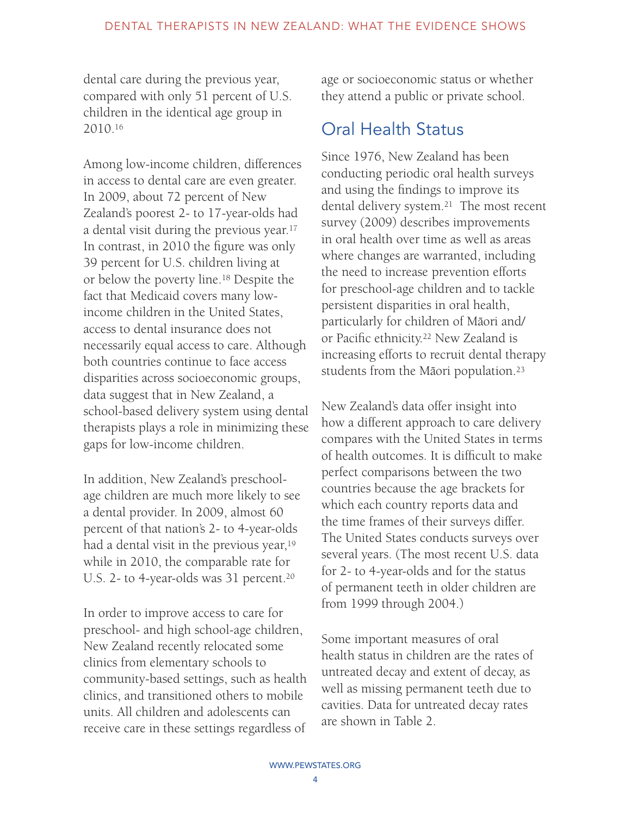dental care during the previous year, compared with only 51 percent of U.S. children in the identical age group in 2010.16

Among low-income children, differences in access to dental care are even greater. In 2009, about 72 percent of New Zealand's poorest 2- to 17-year-olds had a dental visit during the previous year.17 In contrast, in 2010 the figure was only 39 percent for U.S. children living at or below the poverty line.18 Despite the fact that Medicaid covers many lowincome children in the United States, access to dental insurance does not necessarily equal access to care. Although both countries continue to face access disparities across socioeconomic groups, data suggest that in New Zealand, a school-based delivery system using dental therapists plays a role in minimizing these gaps for low-income children.

In addition, New Zealand's preschoolage children are much more likely to see a dental provider. In 2009, almost 60 percent of that nation's 2- to 4-year-olds had a dental visit in the previous year,<sup>19</sup> while in 2010, the comparable rate for U.S. 2- to 4-year-olds was 31 percent.<sup>20</sup>

In order to improve access to care for preschool- and high school-age children, New Zealand recently relocated some clinics from elementary schools to community-based settings, such as health clinics, and transitioned others to mobile units. All children and adolescents can receive care in these settings regardless of

age or socioeconomic status or whether they attend a public or private school.

# Oral Health Status

Since 1976, New Zealand has been conducting periodic oral health surveys and using the findings to improve its dental delivery system.21 The most recent survey (2009) describes improvements in oral health over time as well as areas where changes are warranted, including the need to increase prevention efforts for preschool-age children and to tackle persistent disparities in oral health, .<br>particularly for children of Māori and/ or Pacific ethnicity.22 New Zealand is increasing efforts to recruit dental therapy students from the Māori population.<sup>23</sup>

New Zealand's data offer insight into how a different approach to care delivery compares with the United States in terms of health outcomes. It is difficult to make perfect comparisons between the two countries because the age brackets for which each country reports data and the time frames of their surveys differ. The United States conducts surveys over several years. (The most recent U.S. data for 2- to 4-year-olds and for the status of permanent teeth in older children are from 1999 through 2004.)

Some important measures of oral health status in children are the rates of untreated decay and extent of decay, as well as missing permanent teeth due to cavities. Data for untreated decay rates are shown in Table 2.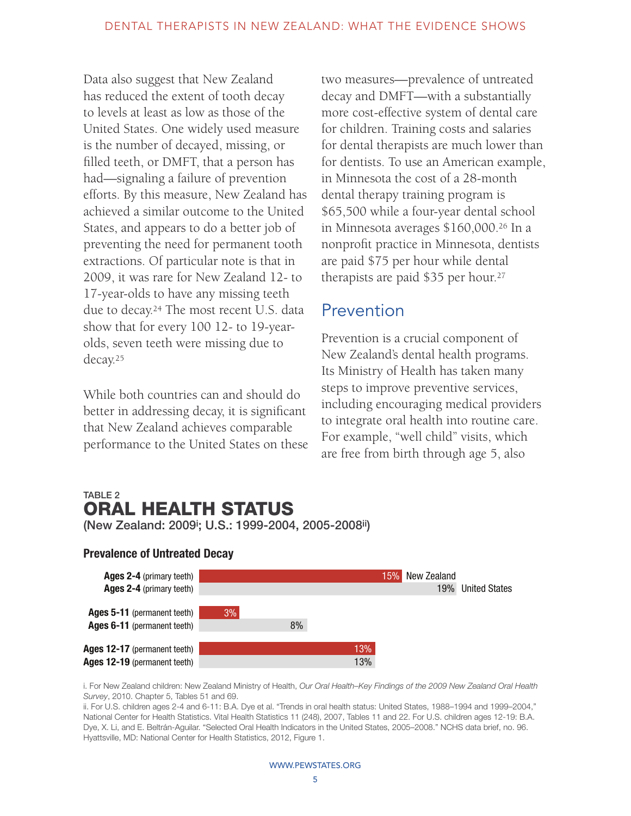Data also suggest that New Zealand has reduced the extent of tooth decay to levels at least as low as those of the United States. One widely used measure is the number of decayed, missing, or filled teeth, or DMFT, that a person has had—signaling a failure of prevention efforts. By this measure, New Zealand has achieved a similar outcome to the United States, and appears to do a better job of preventing the need for permanent tooth extractions. Of particular note is that in 2009, it was rare for New Zealand 12- to 17-year-olds to have any missing teeth due to decay.24 The most recent U.S. data show that for every 100 12- to 19-yearolds, seven teeth were missing due to decay.25

While both countries can and should do better in addressing decay, it is significant that New Zealand achieves comparable performance to the United States on these two measures—prevalence of untreated decay and DMFT—with a substantially more cost-effective system of dental care for children. Training costs and salaries for dental therapists are much lower than for dentists. To use an American example, in Minnesota the cost of a 28-month dental therapy training program is \$65,500 while a four-year dental school in Minnesota averages \$160,000.26 In a nonprofit practice in Minnesota, dentists are paid \$75 per hour while dental therapists are paid \$35 per hour.<sup>27</sup>

# Prevention

Prevention is a crucial component of New Zealand's dental health programs. Its Ministry of Health has taken many steps to improve preventive services, including encouraging medical providers to integrate oral health into routine care. For example, "well child" visits, which are free from birth through age 5, also

#### TABLE 2 ORAL HEALTH STATUS (New Zealand: 2009i ; U.S.: 1999-2004, 2005-2008ii)

#### Prevalence of Untreated Decay



i. For New Zealand children: New Zealand Ministry of Health, *Our Oral Health–Key Findings of the 2009 New Zealand Oral Health Survey*, 2010. Chapter 5, Tables 51 and 69.

ii. For U.S. children ages 2-4 and 6-11: B.A. Dye et al. "Trends in oral health status: United States, 1988–1994 and 1999–2004," National Center for Health Statistics. Vital Health Statistics 11 (248), 2007, Tables 11 and 22. For U.S. children ages 12-19: B.A. Dye, X. Li, and E. Beltrán-Aguilar. "Selected Oral Health Indicators in the United States, 2005–2008." NCHS data brief, no. 96. Hyattsville, MD: National Center for Health Statistics, 2012, Figure 1.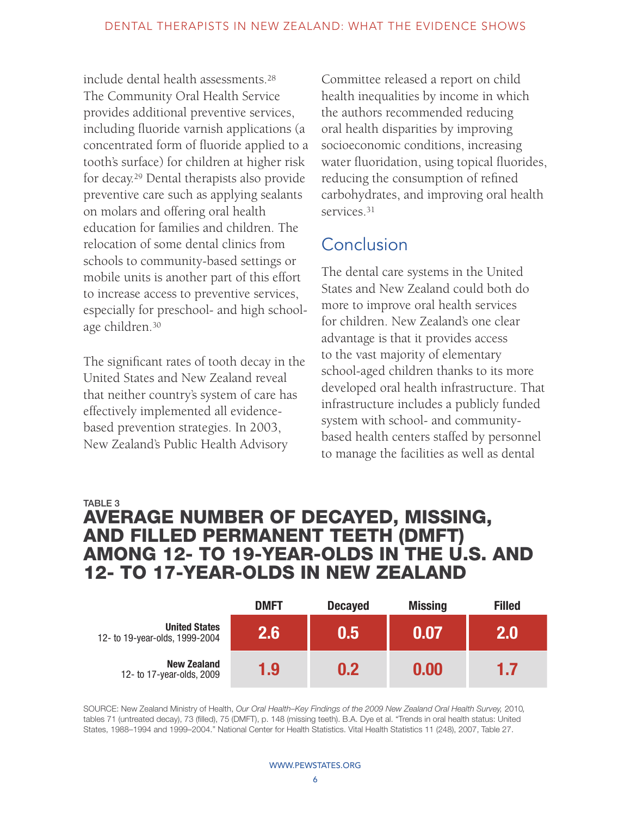include dental health assessments.28 The Community Oral Health Service provides additional preventive services, including fluoride varnish applications (a concentrated form of fluoride applied to a tooth's surface) for children at higher risk for decay.29 Dental therapists also provide preventive care such as applying sealants on molars and offering oral health education for families and children. The relocation of some dental clinics from schools to community-based settings or mobile units is another part of this effort to increase access to preventive services, especially for preschool- and high schoolage children.30

The significant rates of tooth decay in the United States and New Zealand reveal that neither country's system of care has effectively implemented all evidencebased prevention strategies. In 2003, New Zealand's Public Health Advisory

Committee released a report on child health inequalities by income in which the authors recommended reducing oral health disparities by improving socioeconomic conditions, increasing water fluoridation, using topical fluorides, reducing the consumption of refined carbohydrates, and improving oral health services.<sup>31</sup>

# **Conclusion**

The dental care systems in the United States and New Zealand could both do more to improve oral health services for children. New Zealand's one clear advantage is that it provides access to the vast majority of elementary school-aged children thanks to its more developed oral health infrastructure. That infrastructure includes a publicly funded system with school- and communitybased health centers staffed by personnel to manage the facilities as well as dental

### TABLE 3 AVERAGE NUMBER OF DECAYED, MISSING, AND FILLED PERMANENT TEETH (DMFT) AMONG 12- TO 19-YEAR-OLDS IN THE U.S. AND 12- TO 17-YEAR-OLDS IN NEW ZEALAND

|                                                        | <b>DMFT</b>   | <b>Decayed</b> | <b>Missing</b> | <b>Filled</b> |
|--------------------------------------------------------|---------------|----------------|----------------|---------------|
| <b>United States</b><br>12- to 19-year-olds, 1999-2004 | $2.6^{\circ}$ | 0.5            | 0.07           | 2.0           |
| <b>New Zealand</b><br>12- to 17-year-olds, 2009        | 1.9           | 0.2            | 0.00           | 1.7           |

SOURCE: New Zealand Ministry of Health, *Our Oral Health–Key Findings of the 2009 New Zealand Oral Health Survey, 2010,* tables 71 (untreated decay), 73 (filled), 75 (DMFT), p. 148 (missing teeth). B.A. Dye et al. "Trends in oral health status: United States, 1988–1994 and 1999–2004." National Center for Health Statistics. Vital Health Statistics 11 (248), 2007, Table 27.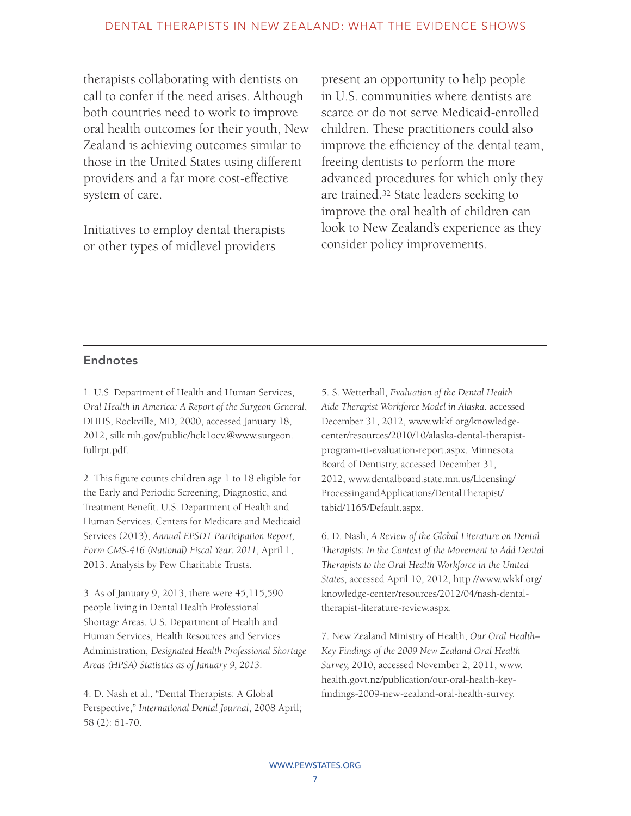therapists collaborating with dentists on call to confer if the need arises. Although both countries need to work to improve oral health outcomes for their youth, New Zealand is achieving outcomes similar to those in the United States using different providers and a far more cost-effective system of care.

Initiatives to employ dental therapists or other types of midlevel providers

present an opportunity to help people in U.S. communities where dentists are scarce or do not serve Medicaid-enrolled children. These practitioners could also improve the efficiency of the dental team, freeing dentists to perform the more advanced procedures for which only they are trained.32 State leaders seeking to improve the oral health of children can look to New Zealand's experience as they consider policy improvements.

#### **Endnotes**

1. U.S. Department of Health and Human Services, *Oral Health in America: A Report of the Surgeon General*, DHHS, Rockville, MD, 2000, accessed January 18, 2012, [silk.nih.gov/public/hck1ocv.@www.surgeon.](silk.nih.gov/public/hck1ocv.@www.surgeon.fullrpt.pdf) [fullrpt.pdf](silk.nih.gov/public/hck1ocv.@www.surgeon.fullrpt.pdf).

2. This figure counts children age 1 to 18 eligible for the Early and Periodic Screening, Diagnostic, and Treatment Benefit. U.S. Department of Health and Human Services, Centers for Medicare and Medicaid Services (2013), *Annual EPSDT Participation Report, Form CMS-416 (National) Fiscal Year: 2011*, April 1, 2013. Analysis by Pew Charitable Trusts.

3. As of January 9, 2013, there were 45,115,590 people living in Dental Health Professional Shortage Areas. U.S. Department of Health and Human Services, Health Resources and Services Administration, *Designated Health Professional Shortage Areas (HPSA) Statistics as of January 9, 2013*.

4. D. Nash et al., "Dental Therapists: A Global Perspective," *International Dental Journal*, 2008 April; 58 (2): 61-70.

5. S. Wetterhall, *Evaluation of the Dental Health Aide Therapist Workforce Model in Alaska*, accessed December 31, 2012, [www.wkkf.org/knowledge](www.wkkf.org/knowledge-center/resources/2010/10/alaska-dental-therapist-program-rti-evaluation-report.aspx)[center/resources/2010/10/alaska-dental-therapist](www.wkkf.org/knowledge-center/resources/2010/10/alaska-dental-therapist-program-rti-evaluation-report.aspx)[program-rti-evaluation-report.aspx.](www.wkkf.org/knowledge-center/resources/2010/10/alaska-dental-therapist-program-rti-evaluation-report.aspx) Minnesota Board of Dentistry, accessed December 31, 2012, [www.dentalboard.state.mn.us/Licensing/](www.dentalboard.state.mn.us/Licensing/ ProcessingandApplications/DentalTherapist/ tabid/1165/Default.aspx)  [ProcessingandApplications/DentalTherapist/](www.dentalboard.state.mn.us/Licensing/ ProcessingandApplications/DentalTherapist/ tabid/1165/Default.aspx)  [tabid/1165/Default.aspx](www.dentalboard.state.mn.us/Licensing/ ProcessingandApplications/DentalTherapist/ tabid/1165/Default.aspx).

6. D. Nash, *A Review of the Global Literature on Dental Therapists: In the Context of the Movement to Add Dental Therapists to the Oral Health Workforce in the United States*, accessed April 10, 2012, [http://www.wkkf.org/](http://www.wkkf.org/knowledge-center/resources/2012/04/nash-dental-therapist-literature-review.aspx) [knowledge-center/resources/2012/04/nash-dental](http://www.wkkf.org/knowledge-center/resources/2012/04/nash-dental-therapist-literature-review.aspx)[therapist-literature-review.aspx.](http://www.wkkf.org/knowledge-center/resources/2012/04/nash-dental-therapist-literature-review.aspx)

7. New Zealand Ministry of Health, *Our Oral Health– Key Findings of the 2009 New Zealand Oral Health Survey,* 2010, accessed November 2, 2011, [www.](www.health.govt.nz/publication/our-oral-health-key-findings-2009-new-zealand-oral-health-survey) [health.govt.nz/publication/our-oral-health-key](www.health.govt.nz/publication/our-oral-health-key-findings-2009-new-zealand-oral-health-survey)[findings-2009-new-zealand-oral-health-survey](www.health.govt.nz/publication/our-oral-health-key-findings-2009-new-zealand-oral-health-survey).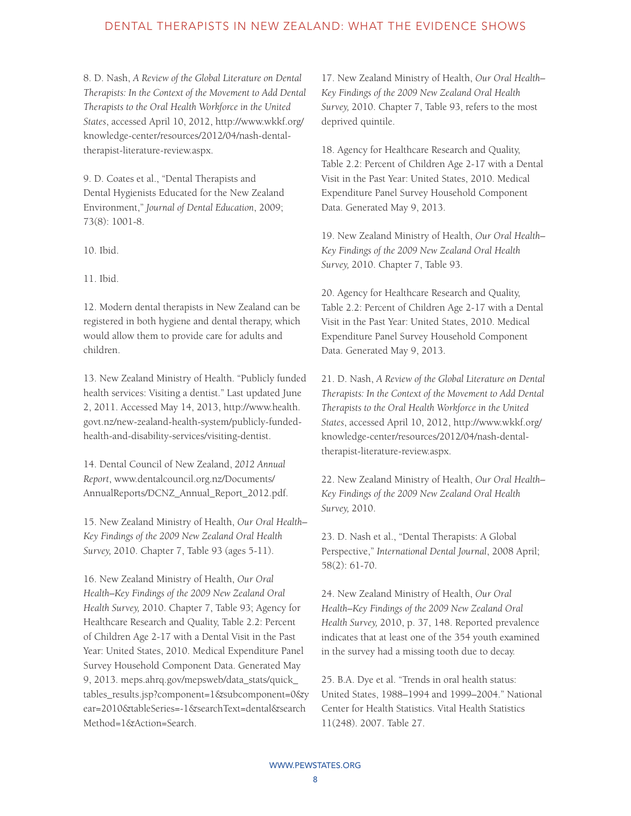#### DENTAL THERAPISTS IN NEW ZEALAND: WHAT THE EVIDENCE SHOWS

8. D. Nash, *A Review of the Global Literature on Dental Therapists: In the Context of the Movement to Add Dental Therapists to the Oral Health Workforce in the United States*, accessed April 10, 2012, [http://www.wkkf.org/](http://www.wkkf.org/knowledge-center/resources/2012/04/nash-dental-therapist-literature-review.aspx) [knowledge-center/resources/2012/04/nash-dental](http://www.wkkf.org/knowledge-center/resources/2012/04/nash-dental-therapist-literature-review.aspx)[therapist-literature-review.aspx.](http://www.wkkf.org/knowledge-center/resources/2012/04/nash-dental-therapist-literature-review.aspx)

9. D. Coates et al., "Dental Therapists and Dental Hygienists Educated for the New Zealand Environment," *Journal of Dental Education*, 2009; 73(8): 1001-8.

10. Ibid.

11. Ibid.

12. Modern dental therapists in New Zealand can be registered in both hygiene and dental therapy, which would allow them to provide care for adults and children.

13. New Zealand Ministry of Health. "Publicly funded health services: Visiting a dentist." Last updated June 2, 2011. Accessed May 14, 2013, [http://www.health.](http://www.health.govt.nz/new-zealand-health-system/publicly-funded-health-and-disability-services/visiting-dentist) [govt.nz/new-zealand-health-system/publicly-funded](http://www.health.govt.nz/new-zealand-health-system/publicly-funded-health-and-disability-services/visiting-dentist)[health-and-disability-services/visiting-dentist.](http://www.health.govt.nz/new-zealand-health-system/publicly-funded-health-and-disability-services/visiting-dentist)

14. Dental Council of New Zealand, *2012 Annual Report*, [www.dentalcouncil.org.nz/Documents/](www.dentalcouncil.org.nz/Documents/AnnualReports/DCNZ_Annual_Report_2012.pdf) [AnnualReports/DCNZ\\_Annual\\_Report\\_2012.pdf](www.dentalcouncil.org.nz/Documents/AnnualReports/DCNZ_Annual_Report_2012.pdf).

15. New Zealand Ministry of Health, *Our Oral Health– Key Findings of the 2009 New Zealand Oral Health Survey,* 2010. Chapter 7, Table 93 (ages 5-11).

16. New Zealand Ministry of Health, *Our Oral Health–Key Findings of the 2009 New Zealand Oral Health Survey,* 2010. Chapter 7, Table 93; Agency for Healthcare Research and Quality, Table 2.2: Percent of Children Age 2-17 with a Dental Visit in the Past Year: United States, 2010. Medical Expenditure Panel Survey Household Component Data. Generated May 9, 2013. [meps.ahrq.gov/mepsweb/data\\_stats/quick\\_](meps.ahrq.gov/mepsweb/data_stats/quick_tables_results.jsp?component=1&subcomponent=0&y ear=2010&tableSeries=-1&searchText=dental&searchMethod=1&Action=Search) [tables\\_results.jsp?component=1&subcomponent=0&y](meps.ahrq.gov/mepsweb/data_stats/quick_tables_results.jsp?component=1&subcomponent=0&y ear=2010&tableSeries=-1&searchText=dental&searchMethod=1&Action=Search)  [ear=2010&tableSeries=-1&searchText=dental&search](meps.ahrq.gov/mepsweb/data_stats/quick_tables_results.jsp?component=1&subcomponent=0&y ear=2010&tableSeries=-1&searchText=dental&searchMethod=1&Action=Search) [Method=1&Action=Search](meps.ahrq.gov/mepsweb/data_stats/quick_tables_results.jsp?component=1&subcomponent=0&y ear=2010&tableSeries=-1&searchText=dental&searchMethod=1&Action=Search).

17. New Zealand Ministry of Health, *Our Oral Health– Key Findings of the 2009 New Zealand Oral Health Survey,* 2010. Chapter 7, Table 93, refers to the most deprived quintile.

18. Agency for Healthcare Research and Quality, Table 2.2: Percent of Children Age 2-17 with a Dental Visit in the Past Year: United States, 2010. Medical Expenditure Panel Survey Household Component Data. Generated May 9, 2013.

19. New Zealand Ministry of Health, *Our Oral Health– Key Findings of the 2009 New Zealand Oral Health Survey,* 2010. Chapter 7, Table 93.

20. Agency for Healthcare Research and Quality, Table 2.2: Percent of Children Age 2-17 with a Dental Visit in the Past Year: United States, 2010. Medical Expenditure Panel Survey Household Component Data. Generated May 9, 2013.

21. D. Nash, *A Review of the Global Literature on Dental Therapists: In the Context of the Movement to Add Dental Therapists to the Oral Health Workforce in the United States*, accessed April 10, 2012, [http://www.wkkf.org/](http://www.wkkf.org/knowledge-center/resources/2012/04/nash-dental-therapist-literature-review.aspx) [knowledge-center/resources/2012/04/nash-dental](http://www.wkkf.org/knowledge-center/resources/2012/04/nash-dental-therapist-literature-review.aspx)[therapist-literature-review.aspx.](http://www.wkkf.org/knowledge-center/resources/2012/04/nash-dental-therapist-literature-review.aspx)

22. New Zealand Ministry of Health, *Our Oral Health– Key Findings of the 2009 New Zealand Oral Health Survey,* 2010.

23. D. Nash et al., "Dental Therapists: A Global Perspective," *International Dental Journal*, 2008 April; 58(2): 61-70.

24. New Zealand Ministry of Health, *Our Oral Health–Key Findings of the 2009 New Zealand Oral Health Survey,* 2010, p. 37, 148. Reported prevalence indicates that at least one of the 354 youth examined in the survey had a missing tooth due to decay.

25. B.A. Dye et al. "Trends in oral health status: United States, 1988–1994 and 1999–2004." National Center for Health Statistics. Vital Health Statistics 11(248). 2007. Table 27.